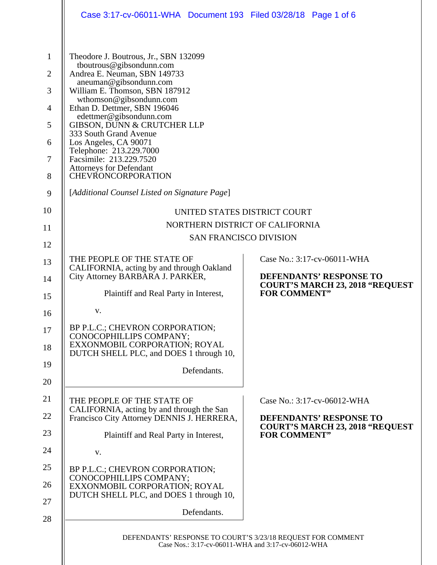|                | Case 3:17-cv-06011-WHA  Document 193  Filed 03/28/18  Page 1 of 6                                                 |                                                                          |  |
|----------------|-------------------------------------------------------------------------------------------------------------------|--------------------------------------------------------------------------|--|
|                |                                                                                                                   |                                                                          |  |
| $\mathbf{1}$   | Theodore J. Boutrous, Jr., SBN 132099                                                                             |                                                                          |  |
| $\overline{2}$ | tboutrous@gibsondunn.com<br>Andrea E. Neuman, SBN 149733                                                          |                                                                          |  |
| 3              | aneuman@gibsondunn.com<br>William E. Thomson, SBN 187912                                                          |                                                                          |  |
| $\overline{4}$ | wthomson@gibsondunn.com<br>Ethan D. Dettmer, SBN 196046                                                           |                                                                          |  |
| 5              | edettmer@gibsondunn.com<br>GIBSON, DUNN & CRUTCHER LLP                                                            |                                                                          |  |
| 6              | 333 South Grand Avenue<br>Los Angeles, CA 90071                                                                   |                                                                          |  |
| 7              | Telephone: 213.229.7000<br>Facsimile: 213.229.7520                                                                |                                                                          |  |
| 8              | <b>Attorneys for Defendant</b><br><b>CHEVRONCORPORATION</b>                                                       |                                                                          |  |
| 9              | [Additional Counsel Listed on Signature Page]                                                                     |                                                                          |  |
| 10             | UNITED STATES DISTRICT COURT                                                                                      |                                                                          |  |
| 11             | NORTHERN DISTRICT OF CALIFORNIA                                                                                   |                                                                          |  |
| 12             | <b>SAN FRANCISCO DIVISION</b>                                                                                     |                                                                          |  |
| 13             | THE PEOPLE OF THE STATE OF<br>CALIFORNIA, acting by and through Oakland                                           | Case No.: 3:17-cv-06011-WHA                                              |  |
| 14             | City Attorney BARBARA J. PARKER,                                                                                  | DEFENDANTS' RESPONSE TO<br><b>COURT'S MARCH 23, 2018 "REQUEST</b>        |  |
| 15             | Plaintiff and Real Party in Interest,                                                                             | <b>FOR COMMENT"</b>                                                      |  |
| 16             | V.                                                                                                                |                                                                          |  |
| 17             | BP P.L.C.; CHEVRON CORPORATION;<br>CONOCOPHILLIPS COMPANY;                                                        |                                                                          |  |
| 18             | EXXONMOBIL CORPORATION; ROYAL<br>DUTCH SHELL PLC, and DOES 1 through 10,                                          |                                                                          |  |
| 19             | Defendants.                                                                                                       |                                                                          |  |
| 20             |                                                                                                                   |                                                                          |  |
| 21             | THE PEOPLE OF THE STATE OF<br>CALIFORNIA, acting by and through the San                                           | Case No.: 3:17-cv-06012-WHA                                              |  |
| 22             | Francisco City Attorney DENNIS J. HERRERA,                                                                        | <b>DEFENDANTS' RESPONSE TO</b><br><b>COURT'S MARCH 23, 2018 "REQUEST</b> |  |
| 23             | Plaintiff and Real Party in Interest,                                                                             | <b>FOR COMMENT"</b>                                                      |  |
| 24             | V.                                                                                                                |                                                                          |  |
| 25             | BP P.L.C.; CHEVRON CORPORATION;<br>CONOCOPHILLIPS COMPANY;                                                        |                                                                          |  |
| 26             | EXXONMOBIL CORPORATION; ROYAL<br>DUTCH SHELL PLC, and DOES 1 through 10,                                          |                                                                          |  |
| 27             | Defendants.                                                                                                       |                                                                          |  |
| 28             |                                                                                                                   |                                                                          |  |
|                | DEFENDANTS' RESPONSE TO COURT'S 3/23/18 REQUEST FOR COMMENT<br>Case Nos.: 3:17-cv-06011-WHA and 3:17-cv-06012-WHA |                                                                          |  |
|                |                                                                                                                   |                                                                          |  |

 $\mathbf{I}$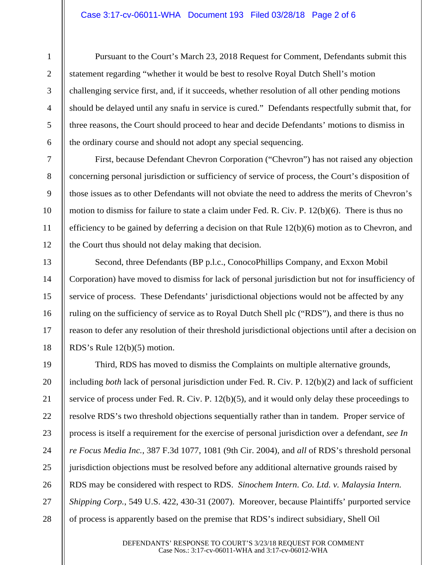## Case 3:17-cv-06011-WHA Document 193 Filed 03/28/18 Page 2 of 6

1

2

3

4

5

6

7

8

9

10

11

12

13

14

15

16

17

18

Pursuant to the Court's March 23, 2018 Request for Comment, Defendants submit this statement regarding "whether it would be best to resolve Royal Dutch Shell's motion challenging service first, and, if it succeeds, whether resolution of all other pending motions should be delayed until any snafu in service is cured." Defendants respectfully submit that, for three reasons, the Court should proceed to hear and decide Defendants' motions to dismiss in the ordinary course and should not adopt any special sequencing.

First, because Defendant Chevron Corporation ("Chevron") has not raised any objection concerning personal jurisdiction or sufficiency of service of process, the Court's disposition of those issues as to other Defendants will not obviate the need to address the merits of Chevron's motion to dismiss for failure to state a claim under Fed. R. Civ. P. 12(b)(6). There is thus no efficiency to be gained by deferring a decision on that Rule  $12(b)(6)$  motion as to Chevron, and the Court thus should not delay making that decision.

Second, three Defendants (BP p.l.c., ConocoPhillips Company, and Exxon Mobil Corporation) have moved to dismiss for lack of personal jurisdiction but not for insufficiency of service of process. These Defendants' jurisdictional objections would not be affected by any ruling on the sufficiency of service as to Royal Dutch Shell plc ("RDS"), and there is thus no reason to defer any resolution of their threshold jurisdictional objections until after a decision on RDS's Rule 12(b)(5) motion.

19 20 21 22 23 24 25 26 27 28 Third, RDS has moved to dismiss the Complaints on multiple alternative grounds, including *both* lack of personal jurisdiction under Fed. R. Civ. P. 12(b)(2) and lack of sufficient service of process under Fed. R. Civ. P. 12(b)(5), and it would only delay these proceedings to resolve RDS's two threshold objections sequentially rather than in tandem. Proper service of process is itself a requirement for the exercise of personal jurisdiction over a defendant, *see In re Focus Media Inc.*, 387 F.3d 1077, 1081 (9th Cir. 2004), and *all* of RDS's threshold personal jurisdiction objections must be resolved before any additional alternative grounds raised by RDS may be considered with respect to RDS. *Sinochem Intern. Co. Ltd. v. Malaysia Intern. Shipping Corp.*, 549 U.S. 422, 430-31 (2007). Moreover, because Plaintiffs' purported service of process is apparently based on the premise that RDS's indirect subsidiary, Shell Oil

> DEFENDANTS' RESPONSE TO COURT'S 3/23/18 REQUEST FOR COMMENT Case Nos.: 3:17-cv-06011-WHA and 3:17-cv-06012-WHA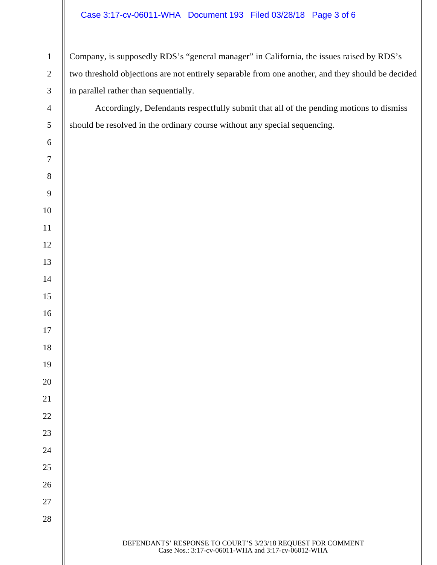## Case 3:17-cv-06011-WHA Document 193 Filed 03/28/18 Page 3 of 6

 $\mathsf{II}$ 

| $\mathbf{1}$     | Company, is supposedly RDS's "general manager" in California, the issues raised by RDS's                          |  |  |
|------------------|-------------------------------------------------------------------------------------------------------------------|--|--|
| $\sqrt{2}$       | two threshold objections are not entirely separable from one another, and they should be decided                  |  |  |
| $\mathfrak{Z}$   | in parallel rather than sequentially.                                                                             |  |  |
| $\overline{4}$   | Accordingly, Defendants respectfully submit that all of the pending motions to dismiss                            |  |  |
| $\mathfrak s$    | should be resolved in the ordinary course without any special sequencing.                                         |  |  |
| $\sqrt{6}$       |                                                                                                                   |  |  |
| $\boldsymbol{7}$ |                                                                                                                   |  |  |
| $8\,$            |                                                                                                                   |  |  |
| $\overline{9}$   |                                                                                                                   |  |  |
| 10               |                                                                                                                   |  |  |
| 11               |                                                                                                                   |  |  |
| 12               |                                                                                                                   |  |  |
| 13               |                                                                                                                   |  |  |
| 14               |                                                                                                                   |  |  |
| 15               |                                                                                                                   |  |  |
| 16               |                                                                                                                   |  |  |
| 17               |                                                                                                                   |  |  |
| 18               |                                                                                                                   |  |  |
| 19               |                                                                                                                   |  |  |
| 20               |                                                                                                                   |  |  |
| 21               |                                                                                                                   |  |  |
| 22               |                                                                                                                   |  |  |
| 23               |                                                                                                                   |  |  |
| 24               |                                                                                                                   |  |  |
| 25               |                                                                                                                   |  |  |
| 26               |                                                                                                                   |  |  |
| 27               |                                                                                                                   |  |  |
| 28               |                                                                                                                   |  |  |
|                  | DEFENDANTS' RESPONSE TO COURT'S 3/23/18 REQUEST FOR COMMENT<br>Case Nos.: 3:17-cv-06011-WHA and 3:17-cv-06012-WHA |  |  |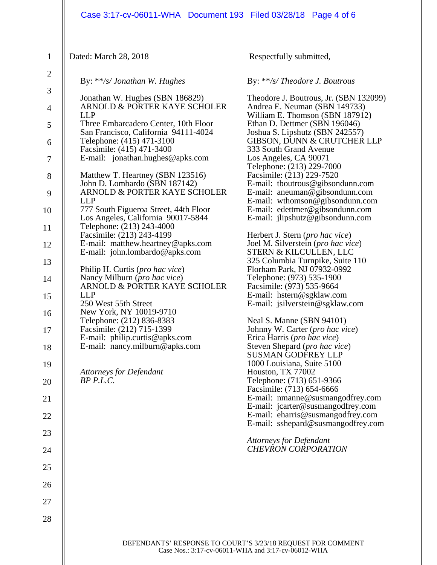|                                | Case 3:17-cv-06011-WHA  Document 193  Filed 03/28/18  Page 4 of 6                                                 |                                                                                                 |
|--------------------------------|-------------------------------------------------------------------------------------------------------------------|-------------------------------------------------------------------------------------------------|
| $\mathbf{1}$<br>$\overline{2}$ | Dated: March 28, 2018<br>By: $**$ /s/ Jonathan W. Hughes                                                          | Respectfully submitted,<br>By: **/s/ Theodore J. Boutrous                                       |
| 3                              | Jonathan W. Hughes (SBN 186829)                                                                                   | Theodore J. Boutrous, Jr. (SBN 132099)                                                          |
| $\overline{4}$                 | ARNOLD & PORTER KAYE SCHOLER<br><b>LLP</b>                                                                        | Andrea E. Neuman (SBN 149733)<br>William E. Thomson (SBN 187912)                                |
| 5                              | Three Embarcadero Center, 10th Floor<br>San Francisco, California 94111-4024<br>Telephone: (415) 471-3100         | Ethan D. Dettmer (SBN 196046)<br>Joshua S. Lipshutz (SBN 242557)<br>GIBSON, DUNN & CRUTCHER LLP |
| 6                              | Facsimile: (415) 471-3400                                                                                         | 333 South Grand Avenue                                                                          |
| 7                              | E-mail: jonathan.hughes@apks.com                                                                                  | Los Angeles, CA 90071<br>Telephone: (213) 229-7000                                              |
| 8                              | Matthew T. Heartney (SBN 123516)                                                                                  | Facsimile: (213) 229-7520                                                                       |
| 9                              | John D. Lombardo (SBN 187142)<br>ARNOLD & PORTER KAYE SCHOLER                                                     | E-mail: tboutrous@gibsondunn.com<br>E-mail: aneuman@gibsondunn.com                              |
| 10                             | <b>LLP</b><br>777 South Figueroa Street, 44th Floor                                                               | E-mail: wthomson@gibsondunn.com<br>E-mail: edettmer@gibsondunn.com                              |
| 11                             | Los Angeles, California 90017-5844<br>Telephone: (213) 243-4000                                                   | E-mail: jlipshutz@gibsondunn.com                                                                |
| 12                             | Facsimile: (213) 243-4199<br>E-mail: matthew.heartney@apks.com                                                    | Herbert J. Stern ( <i>pro hac vice</i> )<br>Joel M. Silverstein (pro hac vice)                  |
| 13                             | E-mail: john.lombardo@apks.com                                                                                    | STERN & KILCULLEN, LLC<br>325 Columbia Turnpike, Suite 110                                      |
| 14                             | Philip H. Curtis ( <i>pro hac vice</i> )<br>Nancy Milburn (pro hac vice)                                          | Florham Park, NJ 07932-0992<br>Telephone: (973) 535-1900                                        |
| 15                             | ARNOLD & PORTER KAYE SCHOLER<br><b>LLP</b>                                                                        | Facsimile: (973) 535-9664<br>E-mail: hstern@sgklaw.com                                          |
|                                | 250 West 55th Street                                                                                              | E-mail: jsilverstein@sgklaw.com                                                                 |
| 16<br>17                       | New York, NY 10019-9710<br>Telephone: (212) 836-8383<br>Facsimile: (212) 715-1399                                 | Neal S. Manne (SBN 94101)<br>Johnny W. Carter (pro hac vice)                                    |
|                                | E-mail: philip.curtis@apks.com<br>E-mail: nancy.milburn@apks.com                                                  | Erica Harris (pro hac vice)<br>Steven Shepard (pro hac vice)                                    |
| 18<br>19                       |                                                                                                                   | <b>SUSMAN GODFREY LLP</b><br>1000 Louisiana, Suite 5100                                         |
| 20                             | <b>Attorneys for Defendant</b><br>$BP$ $P.L.C.$                                                                   | Houston, TX 77002<br>Telephone: (713) 651-9366                                                  |
| 21                             |                                                                                                                   | Facsimile: (713) 654-6666<br>E-mail: nmanne@susmangodfrey.com                                   |
| 22                             |                                                                                                                   | E-mail: jcarter@susmangodfrey.com<br>E-mail: eharris@susmangodfrey.com                          |
| 23                             |                                                                                                                   | E-mail: sshepard@susmangodfrey.com                                                              |
| 24                             |                                                                                                                   | <b>Attorneys for Defendant</b><br><b>CHEVRON CORPORATION</b>                                    |
| 25                             |                                                                                                                   |                                                                                                 |
| 26                             |                                                                                                                   |                                                                                                 |
| 27                             |                                                                                                                   |                                                                                                 |
| 28                             |                                                                                                                   |                                                                                                 |
|                                | DEFENDANTS' RESPONSE TO COURT'S 3/23/18 REQUEST FOR COMMENT<br>Case Nos.: 3:17-cv-06011-WHA and 3:17-cv-06012-WHA |                                                                                                 |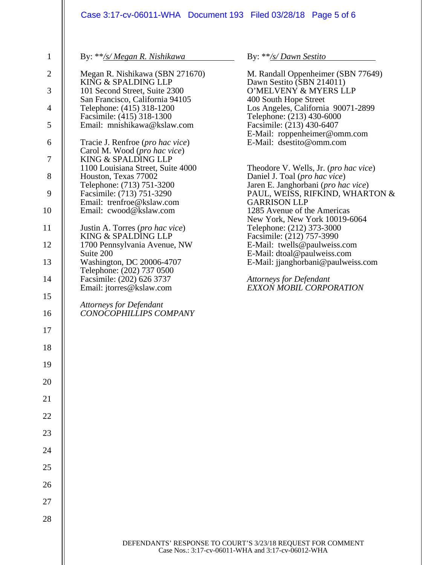| By: **/s/ Megan R. Nishikawa                                                                                                                                                                                                                                                                                                                                                                                                                                                                                                                                                                                                                                                                                                                                                         | By: **/s/Dawn Sestito                                                                                                                                                                                                                                                                                                                                                                                                                                                                                                                                                                                                                                                                                                                                  |
|--------------------------------------------------------------------------------------------------------------------------------------------------------------------------------------------------------------------------------------------------------------------------------------------------------------------------------------------------------------------------------------------------------------------------------------------------------------------------------------------------------------------------------------------------------------------------------------------------------------------------------------------------------------------------------------------------------------------------------------------------------------------------------------|--------------------------------------------------------------------------------------------------------------------------------------------------------------------------------------------------------------------------------------------------------------------------------------------------------------------------------------------------------------------------------------------------------------------------------------------------------------------------------------------------------------------------------------------------------------------------------------------------------------------------------------------------------------------------------------------------------------------------------------------------------|
| Megan R. Nishikawa (SBN 271670)<br>KING & SPALDING LLP<br>101 Second Street, Suite 2300<br>San Francisco, California 94105<br>Telephone: (415) 318-1200<br>Facsimile: (415) 318-1300<br>Email: mnishikawa@kslaw.com<br>Tracie J. Renfroe ( <i>pro hac vice</i> )<br>Carol M. Wood (pro hac vice)<br>KING & SPALDING LLP<br>1100 Louisiana Street, Suite 4000<br>Houston, Texas 77002<br>Telephone: (713) 751-3200<br>Facsimile: (713) 751-3290<br>Email: trenfroe@kslaw.com<br>Email: cwood@kslaw.com<br>Justin A. Torres (pro hac vice)<br>KING & SPALDING LLP<br>1700 Pennsylvania Avenue, NW<br>Suite 200<br>Washington, DC 20006-4707<br>Telephone: (202) 737 0500<br>Facsimile: (202) 626 3737<br>Email: jtorres@kslaw.com<br>Attorneys for Defendant<br>CONOCOPHILLIPS COMPANY | M. Randall Oppenheimer (SBN 77649)<br>Dawn Sestito (SBN 214011)<br>O'MELVENY & MYERS LLP<br>400 South Hope Street<br>Los Angeles, California 90071-2899<br>Telephone: (213) 430-6000<br>Facsimile: (213) 430-6407<br>E-Mail: roppenheimer@omm.com<br>E-Mail: dsestito@omm.com<br>Theodore V. Wells, Jr. ( <i>pro hac vice</i> )<br>Daniel J. Toal (pro hac vice)<br>Jaren E. Janghorbani (pro hac vice)<br>PAUL, WEISS, RIFKIND, WHARTON &<br><b>GARRISON LLP</b><br>1285 Avenue of the Americas<br>New York, New York 10019-6064<br>Telephone: (212) 373-3000<br>Facsimile: (212) 757-3990<br>E-Mail: twells@paulweiss.com<br>E-Mail: dtoal@paulweiss.com<br>E-Mail: jjanghorbani@paulweiss.com<br>Attorneys for Defendant<br>EXXON MOBIL CORPORATION |